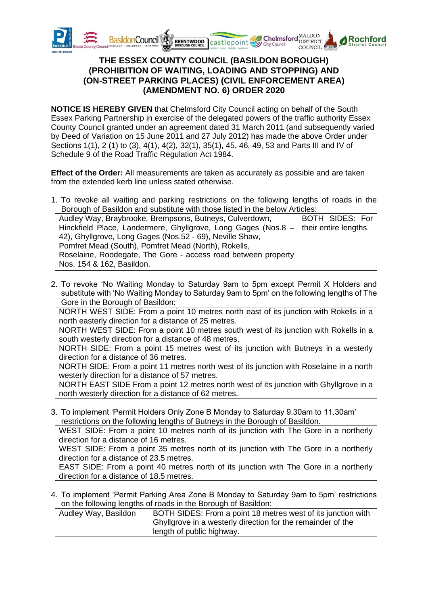

## **THE ESSEX COUNTY COUNCIL (BASILDON BOROUGH) (PROHIBITION OF WAITING, LOADING AND STOPPING) AND (ON-STREET PARKING PLACES) (CIVIL ENFORCEMENT AREA) (AMENDMENT NO. 6) ORDER 2020**

**NOTICE IS HEREBY GIVEN** that Chelmsford City Council acting on behalf of the South Essex Parking Partnership in exercise of the delegated powers of the traffic authority Essex County Council granted under an agreement dated 31 March 2011 (and subsequently varied by Deed of Variation on 15 June 2011 and 27 July 2012) has made the above Order under Sections 1(1), 2 (1) to (3), 4(1), 4(2), 32(1), 35(1), 45, 46, 49, 53 and Parts III and IV of Schedule 9 of the Road Traffic Regulation Act 1984.

**Effect of the Order:** All measurements are taken as accurately as possible and are taken from the extended kerb line unless stated otherwise.

1. To revoke all waiting and parking restrictions on the following lengths of roads in the Borough of Basildon and substitute with those listed in the below Articles:

| <b>BOTH SIDES: For</b>                                        |
|---------------------------------------------------------------|
| their entire lengths.                                         |
|                                                               |
|                                                               |
|                                                               |
|                                                               |
| Hinckfield Place, Landermere, Ghyllgrove, Long Gages (Nos.8 - |

2. To revoke 'No Waiting Monday to Saturday 9am to 5pm except Permit X Holders and substitute with 'No Waiting Monday to Saturday 9am to 5pm' on the following lengths of The Gore in the Borough of Basildon:

NORTH WEST SIDE: From a point 10 metres north east of its junction with Rokells in a north easterly direction for a distance of 25 metres.

NORTH WEST SIDE: From a point 10 metres south west of its junction with Rokells in a south westerly direction for a distance of 48 metres.

NORTH SIDE: From a point 15 metres west of its junction with Butneys in a westerly direction for a distance of 36 metres.

NORTH SIDE: From a point 11 metres north west of its junction with Roselaine in a north westerly direction for a distance of 57 metres.

NORTH EAST SIDE From a point 12 metres north west of its junction with Ghyllgrove in a north westerly direction for a distance of 62 metres.

3. To implement 'Permit Holders Only Zone B Monday to Saturday 9.30am to 11.30am' restrictions on the following lengths of Butneys in the Borough of Basildon.

WEST SIDE: From a point 10 metres north of its junction with The Gore in a northerly direction for a distance of 16 metres.

WEST SIDE: From a point 35 metres north of its junction with The Gore in a northerly direction for a distance of 23.5 metres.

EAST SIDE: From a point 40 metres north of its junction with The Gore in a northerly direction for a distance of 18.5 metres.

4. To implement 'Permit Parking Area Zone B Monday to Saturday 9am to 5pm' restrictions on the following lengths of roads in the Borough of Basildon:

| Audley Way, Basildon | BOTH SIDES: From a point 18 metres west of its junction with  |
|----------------------|---------------------------------------------------------------|
|                      | I Ghyllgrove in a westerly direction for the remainder of the |
|                      |                                                               |
|                      | I length of public highway.                                   |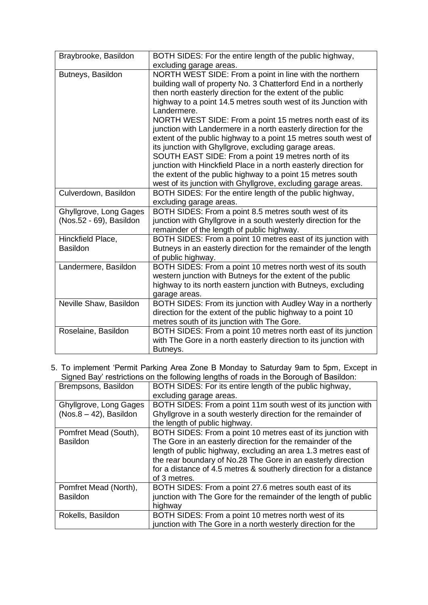| Braybrooke, Basildon                              | BOTH SIDES: For the entire length of the public highway,<br>excluding garage areas.                                                                                                                                                                                                                                                                                                                                                                                                                                                                                                                                                                                                                                                                                                             |
|---------------------------------------------------|-------------------------------------------------------------------------------------------------------------------------------------------------------------------------------------------------------------------------------------------------------------------------------------------------------------------------------------------------------------------------------------------------------------------------------------------------------------------------------------------------------------------------------------------------------------------------------------------------------------------------------------------------------------------------------------------------------------------------------------------------------------------------------------------------|
| Butneys, Basildon                                 | NORTH WEST SIDE: From a point in line with the northern<br>building wall of property No. 3 Chatterford End in a northerly<br>then north easterly direction for the extent of the public<br>highway to a point 14.5 metres south west of its Junction with<br>Landermere.<br>NORTH WEST SIDE: From a point 15 metres north east of its<br>junction with Landermere in a north easterly direction for the<br>extent of the public highway to a point 15 metres south west of<br>its junction with Ghyllgrove, excluding garage areas.<br>SOUTH EAST SIDE: From a point 19 metres north of its<br>junction with Hinckfield Place in a north easterly direction for<br>the extent of the public highway to a point 15 metres south<br>west of its junction with Ghyllgrove, excluding garage areas. |
| Culverdown, Basildon                              | BOTH SIDES: For the entire length of the public highway,<br>excluding garage areas.                                                                                                                                                                                                                                                                                                                                                                                                                                                                                                                                                                                                                                                                                                             |
| Ghyllgrove, Long Gages<br>(Nos.52 - 69), Basildon | BOTH SIDES: From a point 8.5 metres south west of its<br>junction with Ghyllgrove in a south westerly direction for the<br>remainder of the length of public highway.                                                                                                                                                                                                                                                                                                                                                                                                                                                                                                                                                                                                                           |
| Hinckfield Place,<br><b>Basildon</b>              | BOTH SIDES: From a point 10 metres east of its junction with<br>Butneys in an easterly direction for the remainder of the length<br>of public highway.                                                                                                                                                                                                                                                                                                                                                                                                                                                                                                                                                                                                                                          |
| Landermere, Basildon                              | BOTH SIDES: From a point 10 metres north west of its south<br>western junction with Butneys for the extent of the public<br>highway to its north eastern junction with Butneys, excluding<br>garage areas.                                                                                                                                                                                                                                                                                                                                                                                                                                                                                                                                                                                      |
| Neville Shaw, Basildon                            | BOTH SIDES: From its junction with Audley Way in a northerly<br>direction for the extent of the public highway to a point 10<br>metres south of its junction with The Gore.                                                                                                                                                                                                                                                                                                                                                                                                                                                                                                                                                                                                                     |
| Roselaine, Basildon                               | BOTH SIDES: From a point 10 metres north east of its junction<br>with The Gore in a north easterly direction to its junction with<br>Butneys.                                                                                                                                                                                                                                                                                                                                                                                                                                                                                                                                                                                                                                                   |

5. To implement 'Permit Parking Area Zone B Monday to Saturday 9am to 5pm, Except in Signed Bay' restrictions on the following lengths of roads in the Borough of Basildon:

| Brempsons, Basildon                                 | BOTH SIDES: For its entire length of the public highway,<br>excluding garage areas.                                                                                                                                                                                                                                                               |
|-----------------------------------------------------|---------------------------------------------------------------------------------------------------------------------------------------------------------------------------------------------------------------------------------------------------------------------------------------------------------------------------------------------------|
| Ghyllgrove, Long Gages<br>$(Nos.8 - 42)$ , Basildon | BOTH SIDES: From a point 11m south west of its junction with<br>Ghyllgrove in a south westerly direction for the remainder of<br>the length of public highway.                                                                                                                                                                                    |
| Pomfret Mead (South),<br><b>Basildon</b>            | BOTH SIDES: From a point 10 metres east of its junction with<br>The Gore in an easterly direction for the remainder of the<br>length of public highway, excluding an area 1.3 metres east of<br>the rear boundary of No.28 The Gore in an easterly direction<br>for a distance of 4.5 metres & southerly direction for a distance<br>of 3 metres. |
| Pomfret Mead (North),<br><b>Basildon</b>            | BOTH SIDES: From a point 27.6 metres south east of its<br>junction with The Gore for the remainder of the length of public<br>highway                                                                                                                                                                                                             |
| Rokells, Basildon                                   | BOTH SIDES: From a point 10 metres north west of its<br>junction with The Gore in a north westerly direction for the                                                                                                                                                                                                                              |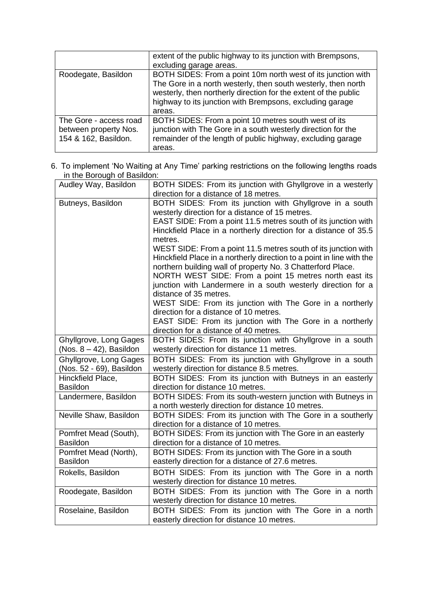|                                                                         | extent of the public highway to its junction with Brempsons,<br>excluding garage areas.                                                                                                                                                                                |
|-------------------------------------------------------------------------|------------------------------------------------------------------------------------------------------------------------------------------------------------------------------------------------------------------------------------------------------------------------|
| Roodegate, Basildon                                                     | BOTH SIDES: From a point 10m north west of its junction with<br>The Gore in a north westerly, then south westerly, then north<br>westerly, then northerly direction for the extent of the public<br>highway to its junction with Brempsons, excluding garage<br>areas. |
| The Gore - access road<br>between property Nos.<br>154 & 162, Basildon. | BOTH SIDES: From a point 10 metres south west of its<br>junction with The Gore in a south westerly direction for the<br>remainder of the length of public highway, excluding garage<br>areas.                                                                          |

6. To implement 'No Waiting at Any Time' parking restrictions on the following lengths roads in the Borough of Basildon:

| Audley Way, Basildon                     | BOTH SIDES: From its junction with Ghyllgrove in a westerly                                                 |
|------------------------------------------|-------------------------------------------------------------------------------------------------------------|
|                                          | direction for a distance of 18 metres.                                                                      |
| Butneys, Basildon                        | BOTH SIDES: From its junction with Ghyllgrove in a south                                                    |
|                                          | westerly direction for a distance of 15 metres.                                                             |
|                                          | EAST SIDE: From a point 11.5 metres south of its junction with                                              |
|                                          | Hinckfield Place in a northerly direction for a distance of 35.5                                            |
|                                          | metres.                                                                                                     |
|                                          | WEST SIDE: From a point 11.5 metres south of its junction with                                              |
|                                          | Hinckfield Place in a northerly direction to a point in line with the                                       |
|                                          | northern building wall of property No. 3 Chatterford Place.                                                 |
|                                          | NORTH WEST SIDE: From a point 15 metres north east its                                                      |
|                                          | junction with Landermere in a south westerly direction for a                                                |
|                                          | distance of 35 metres.                                                                                      |
|                                          | WEST SIDE: From its junction with The Gore in a northerly                                                   |
|                                          | direction for a distance of 10 metres.                                                                      |
|                                          | EAST SIDE: From its junction with The Gore in a northerly                                                   |
|                                          | direction for a distance of 40 metres.                                                                      |
| Ghyllgrove, Long Gages                   | BOTH SIDES: From its junction with Ghyllgrove in a south                                                    |
| (Nos. $8 - 42$ ), Basildon               | westerly direction for distance 11 metres.                                                                  |
| Ghyllgrove, Long Gages                   | BOTH SIDES: From its junction with Ghyllgrove in a south                                                    |
| (Nos. 52 - 69), Basildon                 | westerly direction for distance 8.5 metres.                                                                 |
| Hinckfield Place,                        | BOTH SIDES: From its junction with Butneys in an easterly                                                   |
| <b>Basildon</b>                          | direction for distance 10 metres.                                                                           |
| Landermere, Basildon                     | BOTH SIDES: From its south-western junction with Butneys in                                                 |
|                                          | a north westerly direction for distance 10 metres.                                                          |
| Neville Shaw, Basildon                   | BOTH SIDES: From its junction with The Gore in a southerly                                                  |
|                                          | direction for a distance of 10 metres.                                                                      |
| Pomfret Mead (South),<br><b>Basildon</b> | BOTH SIDES: From its junction with The Gore in an easterly                                                  |
|                                          | direction for a distance of 10 metres.                                                                      |
| Pomfret Mead (North),<br><b>Basildon</b> | BOTH SIDES: From its junction with The Gore in a south<br>easterly direction for a distance of 27.6 metres. |
|                                          |                                                                                                             |
| Rokells, Basildon                        | BOTH SIDES: From its junction with The Gore in a north                                                      |
|                                          | westerly direction for distance 10 metres.                                                                  |
| Roodegate, Basildon                      | BOTH SIDES: From its junction with The Gore in a north                                                      |
|                                          | westerly direction for distance 10 metres.                                                                  |
| Roselaine, Basildon                      | BOTH SIDES: From its junction with The Gore in a north                                                      |
|                                          | easterly direction for distance 10 metres.                                                                  |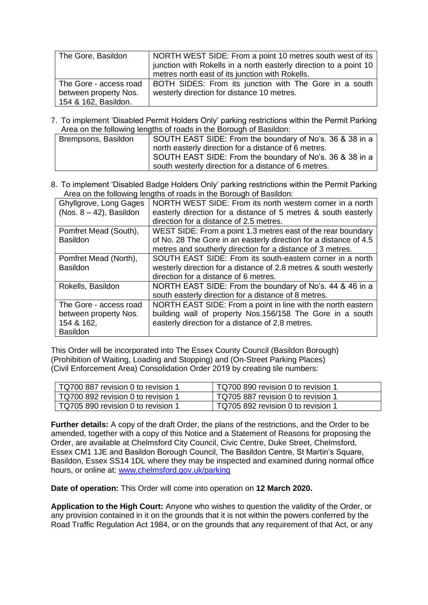| The Gore, Basildon     | NORTH WEST SIDE: From a point 10 metres south west of its<br>junction with Rokells in a north easterly direction to a point 10<br>metres north east of its junction with Rokells. |
|------------------------|-----------------------------------------------------------------------------------------------------------------------------------------------------------------------------------|
| The Gore - access road | BOTH SIDES: From its junction with The Gore in a south                                                                                                                            |
| between property Nos.  | westerly direction for distance 10 metres.                                                                                                                                        |
| 154 & 162, Basildon.   |                                                                                                                                                                                   |

7. To implement 'Disabled Permit Holders Only' parking restrictions within the Permit Parking Area on the following lengths of roads in the Borough of Basildon:

| Brempsons, Basildon | SOUTH EAST SIDE: From the boundary of No's. 36 & 38 in a |
|---------------------|----------------------------------------------------------|
|                     | north easterly direction for a distance of 6 metres.     |
|                     | SOUTH EAST SIDE: From the boundary of No's. 36 & 38 in a |
|                     | south westerly direction for a distance of 6 metres.     |

8. To implement 'Disabled Badge Holders Only' parking restrictions within the Permit Parking Area on the following lengths of roads in the Borough of Basildon:

| Ghyllgrove, Long Gages     | NORTH WEST SIDE: From its north western corner in a north         |
|----------------------------|-------------------------------------------------------------------|
| (Nos. $8 - 42$ ), Basildon | easterly direction for a distance of 5 metres & south easterly    |
|                            | direction for a distance of 2.5 metres.                           |
| Pomfret Mead (South),      | WEST SIDE: From a point 1.3 metres east of the rear boundary      |
| <b>Basildon</b>            | of No. 28 The Gore in an easterly direction for a distance of 4.5 |
|                            | metres and southerly direction for a distance of 3 metres.        |
| Pomfret Mead (North),      | SOUTH EAST SIDE: From its south-eastern corner in a north         |
| <b>Basildon</b>            | westerly direction for a distance of 2.8 metres & south westerly  |
|                            | direction for a distance of 6 metres.                             |
| Rokells, Basildon          | NORTH EAST SIDE: From the boundary of No's. 44 & 46 in a          |
|                            | south easterly direction for a distance of 8 metres.              |
| The Gore - access road     | NORTH EAST SIDE: From a point in line with the north eastern      |
| between property Nos.      | building wall of property Nos.156/158 The Gore in a south         |
| 154 & 162,                 | easterly direction for a distance of 2.8 metres.                  |
| <b>Basildon</b>            |                                                                   |

This Order will be incorporated into The Essex County Council (Basildon Borough) (Prohibition of Waiting, Loading and Stopping) and (On-Street Parking Places) (Civil Enforcement Area) Consolidation Order 2019 by creating tile numbers:

| TQ700 887 revision 0 to revision 1   | TQ700 890 revision 0 to revision 1 |
|--------------------------------------|------------------------------------|
| ∣ TQ700 892 revision 0 to revision 1 | TQ705 887 revision 0 to revision 1 |
| TQ705 890 revision 0 to revision 1   | TQ705 892 revision 0 to revision 1 |

**Further details:** A copy of the draft Order, the plans of the restrictions, and the Order to be amended, together with a copy of this Notice and a Statement of Reasons for proposing the Order, are available at Chelmsford City Council, Civic Centre, Duke Street, Chelmsford, Essex CM1 1JE and Basildon Borough Council, The Basildon Centre, St Martin's Square, Basildon, Essex SS14 1DL where they may be inspected and examined during normal office hours, or online at: [www.chelmsford.gov.uk/parking](http://www.chelmsford.gov.uk/parking)

**Date of operation:** This Order will come into operation on **12 March 2020.**

**Application to the High Court:** Anyone who wishes to question the validity of the Order, or any provision contained in it on the grounds that it is not within the powers conferred by the Road Traffic Regulation Act 1984, or on the grounds that any requirement of that Act, or any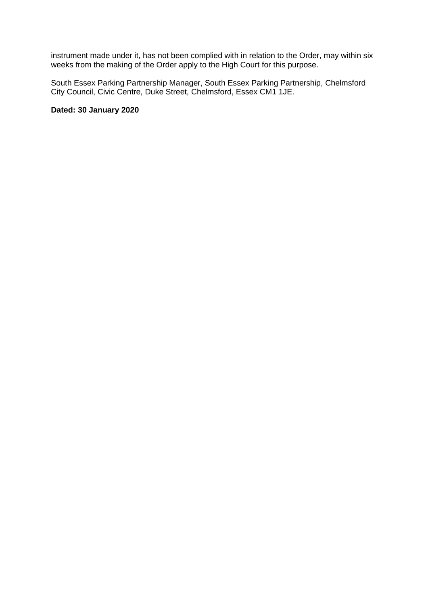instrument made under it, has not been complied with in relation to the Order, may within six weeks from the making of the Order apply to the High Court for this purpose.

South Essex Parking Partnership Manager, South Essex Parking Partnership, Chelmsford City Council, Civic Centre, Duke Street, Chelmsford, Essex CM1 1JE.

## **Dated: 30 January 2020**